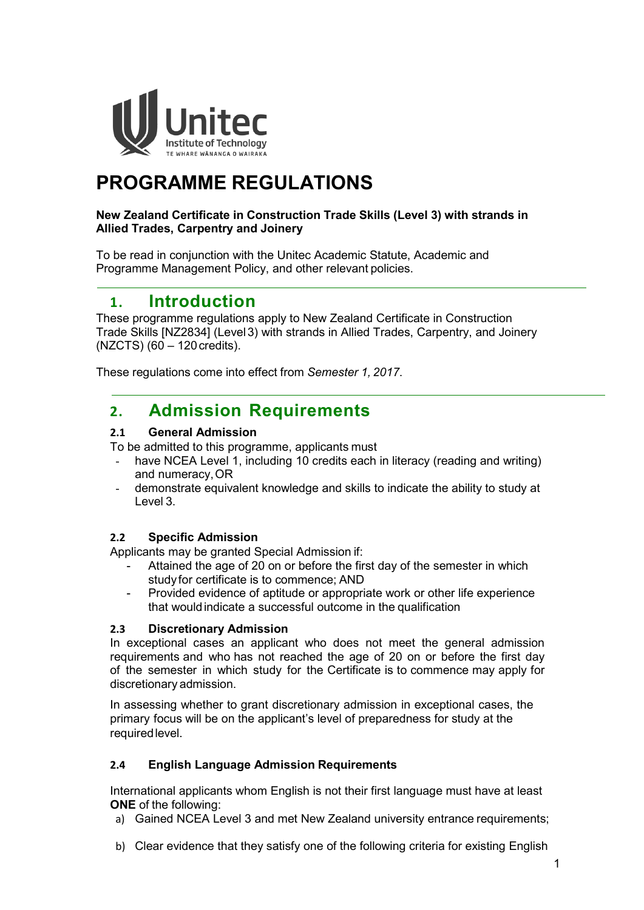

# **PROGRAMME REGULATIONS**

#### **New Zealand Certificate in Construction Trade Skills (Level 3) with strands in Allied Trades, Carpentry and Joinery**

To be read in conjunction with the Unitec Academic Statute, Academic and Programme Management Policy, and other relevant policies.

## **1. Introduction**

These programme regulations apply to New Zealand Certificate in Construction Trade Skills [NZ2834] (Level3) with strands in Allied Trades, Carpentry, and Joinery  $(NZCTS)$  (60 – 120 credits).

These regulations come into effect from *Semester 1, 2017*.

# **2. Admission Requirements**

#### **2.1 General Admission**

To be admitted to this programme, applicants must

- have NCEA Level 1, including 10 credits each in literacy (reading and writing) and numeracy,OR
- demonstrate equivalent knowledge and skills to indicate the ability to study at Level 3.

#### **2.2 Specific Admission**

Applicants may be granted Special Admission if:

- Attained the age of 20 on or before the first day of the semester in which study for certificate is to commence; AND
- Provided evidence of aptitude or appropriate work or other life experience that wouldindicate a successful outcome in the qualification

#### **2.3 Discretionary Admission**

In exceptional cases an applicant who does not meet the general admission requirements and who has not reached the age of 20 on or before the first day of the semester in which study for the Certificate is to commence may apply for discretionary admission.

In assessing whether to grant discretionary admission in exceptional cases, the primary focus will be on the applicant's level of preparedness for study at the requiredlevel.

#### **2.4 English Language Admission Requirements**

International applicants whom English is not their first language must have at least **ONE** of the following:

- a) Gained NCEA Level 3 and met New Zealand university entrance requirements;
- b) Clear evidence that they satisfy one of the following criteria for existing English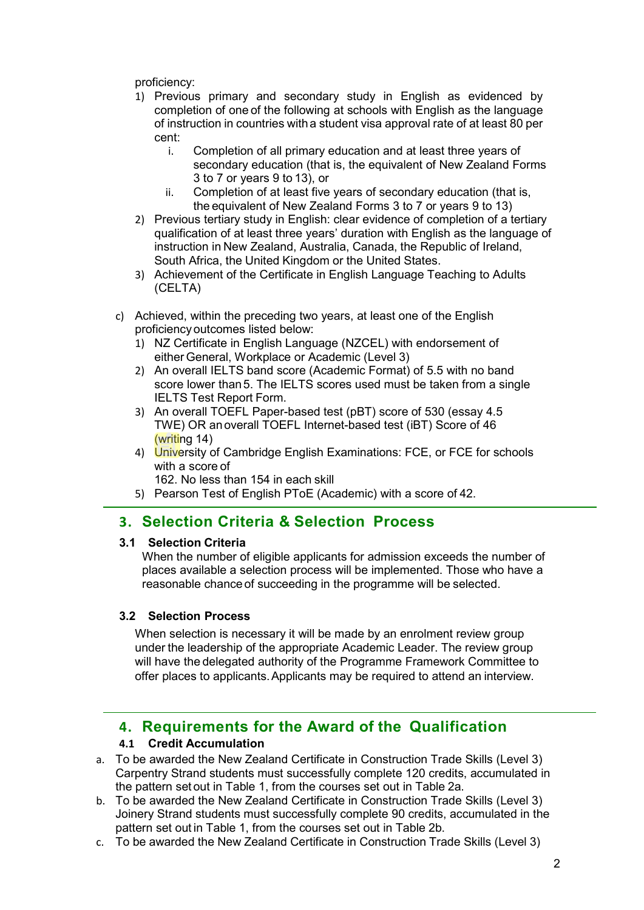proficiency:

- 1) Previous primary and secondary study in English as evidenced by completion of one of the following at schools with English as the language of instruction in countries witha student visa approval rate of at least 80 per cent:
	- i. Completion of all primary education and at least three years of secondary education (that is, the equivalent of New Zealand Forms 3 to 7 or years 9 to 13), or
	- ii. Completion of at least five years of secondary education (that is, the equivalent of New Zealand Forms 3 to 7 or years 9 to 13)
- 2) Previous tertiary study in English: clear evidence of completion of a tertiary qualification of at least three years' duration with English as the language of instruction in New Zealand, Australia, Canada, the Republic of Ireland, South Africa, the United Kingdom or the United States.
- 3) Achievement of the Certificate in English Language Teaching to Adults (CELTA)
- c) Achieved, within the preceding two years, at least one of the English proficiency outcomes listed below:
	- 1) NZ Certificate in English Language (NZCEL) with endorsement of either General, Workplace or Academic (Level 3)
	- 2) An overall IELTS band score (Academic Format) of 5.5 with no band score lower than5. The IELTS scores used must be taken from a single IELTS Test Report Form.
	- 3) An overall TOEFL Paper-based test (pBT) score of 530 (essay 4.5 TWE) OR anoverall TOEFL Internet-based test (iBT) Score of 46 (writing 14)
	- 4) University of Cambridge English Examinations: FCE, or FCE for schools with a score of
		- 162. No less than 154 in each skill
	- 5) Pearson Test of English PToE (Academic) with a score of 42.

### **3. Selection Criteria & Selection Process**

#### **3.1 Selection Criteria**

When the number of eligible applicants for admission exceeds the number of places available a selection process will be implemented. Those who have a reasonable chance of succeeding in the programme will be selected.

#### **3.2 Selection Process**

When selection is necessary it will be made by an enrolment review group under the leadership of the appropriate Academic Leader. The review group will have the delegated authority of the Programme Framework Committee to offer places to applicants.Applicants may be required to attend an interview.

# **4. Requirements for the Award of the Qualification**

#### **4.1 Credit Accumulation**

- a. To be awarded the New Zealand Certificate in Construction Trade Skills (Level 3) Carpentry Strand students must successfully complete 120 credits, accumulated in the pattern set out in Table 1, from the courses set out in Table 2a.
- b. To be awarded the New Zealand Certificate in Construction Trade Skills (Level 3) Joinery Strand students must successfully complete 90 credits, accumulated in the pattern set out in Table 1, from the courses set out in Table 2b.
- c. To be awarded the New Zealand Certificate in Construction Trade Skills (Level 3)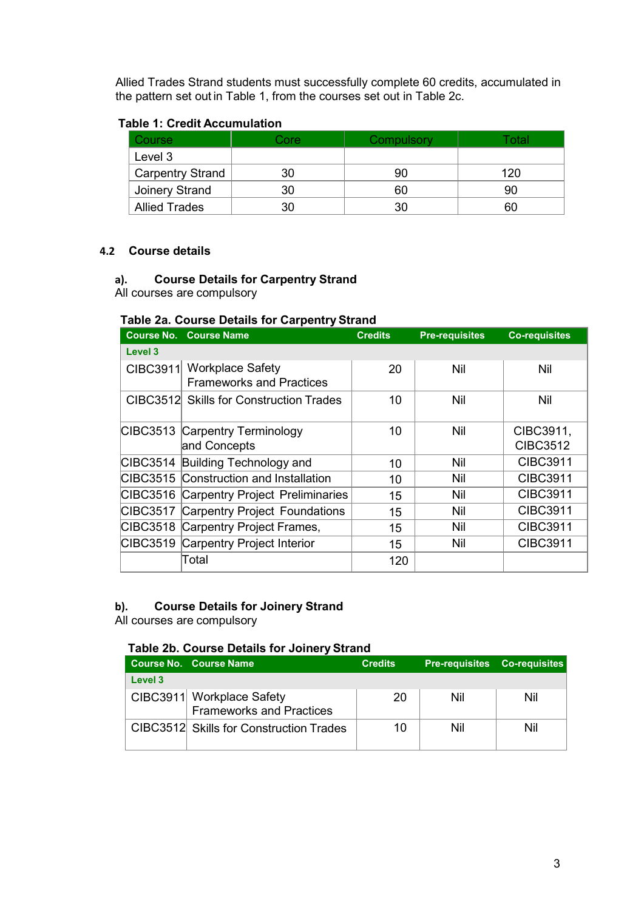Allied Trades Strand students must successfully complete 60 credits, accumulated in the pattern set out in Table 1, from the courses set out in Table 2c.

#### **Table 1: Credit Accumulation**

| Course                  | Core | Compulsory | '∩tal |
|-------------------------|------|------------|-------|
| Level 3                 |      |            |       |
| <b>Carpentry Strand</b> | 30   | 90         | 120   |
| Joinery Strand          | 30   | 60         | 90    |
| <b>Allied Trades</b>    | 30   |            | 60    |

#### **4.2 Course details**

### **a). Course Details for Carpentry Strand**

All courses are compulsory

#### **Table 2a. Course Details for Carpentry Strand**

|                 | <b>Course No. Course Name</b>                   | <b>Credits</b> | <b>Pre-requisites</b> | <b>Co-requisites</b> |
|-----------------|-------------------------------------------------|----------------|-----------------------|----------------------|
| Level 3         |                                                 |                |                       |                      |
| CIBC3911        | <b>Workplace Safety</b>                         | 20             | Nil                   | Nil                  |
|                 | <b>Frameworks and Practices</b>                 |                |                       |                      |
|                 | CIBC3512 Skills for Construction Trades         | 10             | Nil                   | Nil                  |
|                 |                                                 |                |                       |                      |
|                 | CIBC3513 Carpentry Terminology                  | 10             | Nil                   | CIBC3911,            |
|                 | and Concepts                                    |                |                       | <b>CIBC3512</b>      |
|                 | CIBC3514 Building Technology and                | 10             | Nil                   | <b>CIBC3911</b>      |
|                 | CIBC3515 Construction and Installation          | 10             | Nil                   | <b>CIBC3911</b>      |
|                 | <b>CIBC3516 Carpentry Project Preliminaries</b> | 15             | Nil                   | <b>CIBC3911</b>      |
| <b>CIBC3517</b> | <b>Carpentry Project Foundations</b>            | 15             | Nil                   | <b>CIBC3911</b>      |
|                 | CIBC3518 Carpentry Project Frames,              | 15             | Nil                   | <b>CIBC3911</b>      |
|                 | CIBC3519 Carpentry Project Interior             | 15             | Nil                   | <b>CIBC3911</b>      |
|                 | Total                                           | 120            |                       |                      |

#### **b). Course Details for Joinery Strand**

All courses are compulsory

#### **Table 2b. Course Details for Joinery Strand**

|         | Course No. Course Name                                | <b>Credits</b> | <b>Pre-requisites</b> Co-requisites |     |
|---------|-------------------------------------------------------|----------------|-------------------------------------|-----|
| Level 3 |                                                       |                |                                     |     |
|         | CIBC3911 Workplace Safety<br>Frameworks and Practices | 20             | Nil                                 | Nil |
|         | CIBC3512 Skills for Construction Trades               | 10             | Nil                                 | Nil |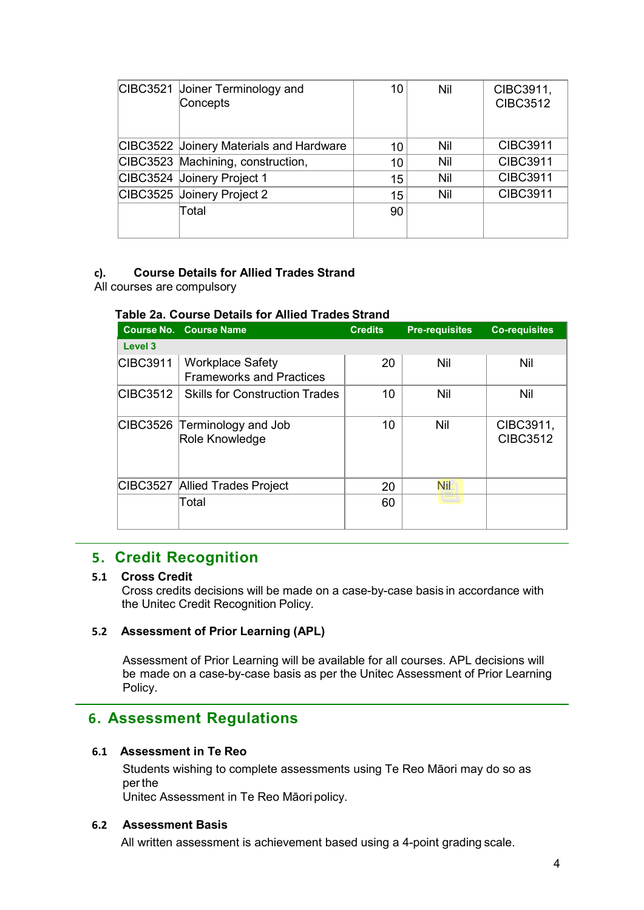| CIBC3521 Joiner Terminology and<br>Concepts | 10 | Nil | CIBC3911,<br><b>CIBC3512</b> |
|---------------------------------------------|----|-----|------------------------------|
| CIBC3522 Joinery Materials and Hardware     | 10 | Nil | <b>CIBC3911</b>              |
| CIBC3523 Machining, construction,           | 10 | Nil | <b>CIBC3911</b>              |
| CIBC3524 Joinery Project 1                  | 15 | Nil | <b>CIBC3911</b>              |
| CIBC3525 Joinery Project 2                  | 15 | Nil | <b>CIBC3911</b>              |
| Total                                       | 90 |     |                              |

#### **c). Course Details for Allied Trades Strand**

All courses are compulsory

#### **Table 2a. Course Details for Allied Trades Strand**

|                 | <b>Course No. Course Name</b>                              | <b>Credits</b> | <b>Pre-requisites</b> | <b>Co-requisites</b>         |
|-----------------|------------------------------------------------------------|----------------|-----------------------|------------------------------|
| Level 3         |                                                            |                |                       |                              |
| CIBC3911        | <b>Workplace Safety</b><br><b>Frameworks and Practices</b> | 20             | Nil                   | Nil                          |
| <b>CIBC3512</b> | <b>Skills for Construction Trades</b>                      | 10             | Nil                   | Nil                          |
|                 | CIBC3526 Terminology and Job<br>Role Knowledge             | 10             | Nil                   | CIBC3911,<br><b>CIBC3512</b> |
| <b>CIBC3527</b> | <b>Allied Trades Project</b>                               | 20             | Nil                   |                              |
|                 | Total                                                      | 60             |                       |                              |

### **5. Credit Recognition**

#### **5.1 Cross Credit**

Cross credits decisions will be made on a case-by-case basis in accordance with the Unitec Credit Recognition Policy.

#### **5.2 Assessment of Prior Learning (APL)**

Assessment of Prior Learning will be available for all courses. APL decisions will be made on a case-by-case basis as per the Unitec Assessment of Prior [Learning](https://unitecnz-my.sharepoint.com/personal/cking2_unitec_ac_nz/projectmanagement/vetnursing/Shared%20Documents/Academic%20Case/Unitec%20Policies/Assessment%20of%20Prior%20Learning%20Policy.pdf) [Policy.](https://unitecnz-my.sharepoint.com/personal/cking2_unitec_ac_nz/projectmanagement/vetnursing/Shared%20Documents/Academic%20Case/Unitec%20Policies/Assessment%20of%20Prior%20Learning%20Policy.pdf)

### **6. Assessment Regulations**

#### **6.1 Assessment in Te Reo**

Students wishing to complete assessments using Te Reo Māori may do so as per the

Unitec Assessment in Te Reo Māori policy.

#### **6.2 Assessment Basis**

All written assessment is achievement based using a 4-point grading scale.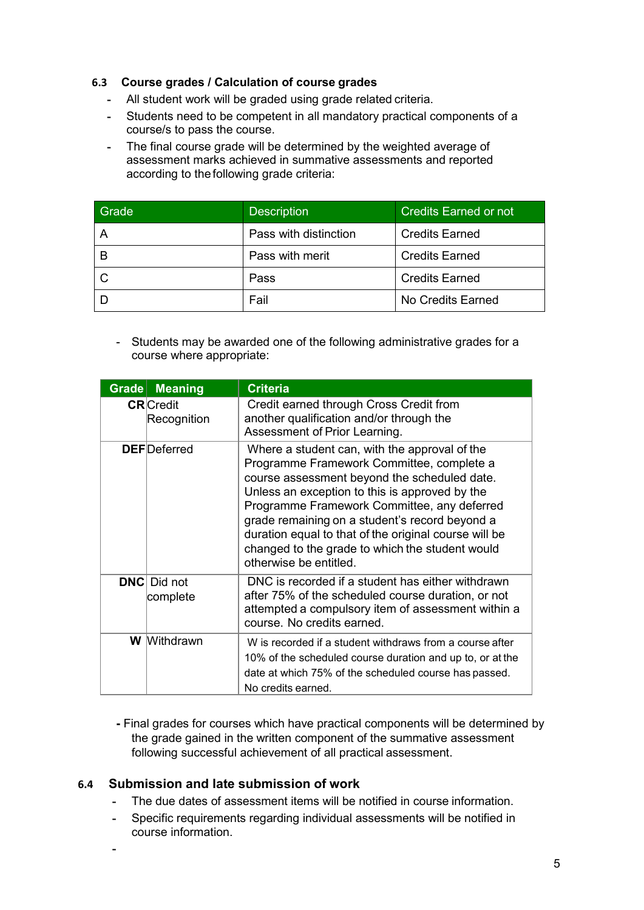#### **6.3 Course grades / Calculation of course grades**

- **-** All student work will be graded using grade related criteria.
- **-** Students need to be competent in all mandatory practical components of a course/s to pass the course.
- **-** The final course grade will be determined by the weighted average of assessment marks achieved in summative assessments and reported according to thefollowing grade criteria:

| Grade | <b>Description</b>    | <b>Credits Earned or not</b> |
|-------|-----------------------|------------------------------|
|       | Pass with distinction | <b>Credits Earned</b>        |
|       | Pass with merit       | <b>Credits Earned</b>        |
|       | Pass                  | <b>Credits Earned</b>        |
|       | Fail                  | No Credits Earned            |

- Students may be awarded one of the following administrative grades for a course where appropriate:

| $G$ rade | <b>Meaning</b>                  | <b>Criteria</b>                                                                                                                                                                                                                                                                                                                                                                                                                     |
|----------|---------------------------------|-------------------------------------------------------------------------------------------------------------------------------------------------------------------------------------------------------------------------------------------------------------------------------------------------------------------------------------------------------------------------------------------------------------------------------------|
|          | <b>CR</b> Credit<br>Recognition | Credit earned through Cross Credit from<br>another qualification and/or through the<br>Assessment of Prior Learning.                                                                                                                                                                                                                                                                                                                |
|          | <b>DEF</b> Deferred             | Where a student can, with the approval of the<br>Programme Framework Committee, complete a<br>course assessment beyond the scheduled date.<br>Unless an exception to this is approved by the<br>Programme Framework Committee, any deferred<br>grade remaining on a student's record beyond a<br>duration equal to that of the original course will be<br>changed to the grade to which the student would<br>otherwise be entitled. |
|          | <b>DNC</b> Did not<br>complete  | DNC is recorded if a student has either withdrawn<br>after 75% of the scheduled course duration, or not<br>attempted a compulsory item of assessment within a<br>course. No credits earned.                                                                                                                                                                                                                                         |
|          | <b>W</b> Withdrawn              | W is recorded if a student withdraws from a course after<br>10% of the scheduled course duration and up to, or at the<br>date at which 75% of the scheduled course has passed.<br>No credits earned.                                                                                                                                                                                                                                |

**-** Final grades for courses which have practical components will be determined by the grade gained in the written component of the summative assessment following successful achievement of all practical assessment.

#### **6.4 Submission and late submission of work**

- **-** The due dates of assessment items will be notified in course information.
- **-** Specific requirements regarding individual assessments will be notified in course information.
- **-**